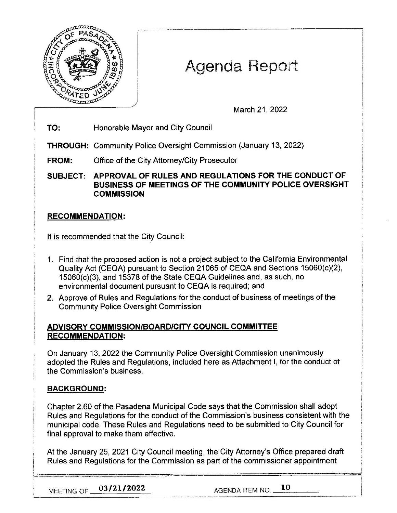

# Agenda Report

March 21, 2022

**TO:** Honorable Mayor and City Council

**THROUGH:** Community Police Oversight Commission (January 13, 2022)

**FROM:** Office of the City Attorney/City Prosecutor

**SUBJECT: APPROVAL OF RULES AND REGULATIONS FOR THE CONDUCT OF BUSINESS OF MEETINGS OF THE COMMUNITY POLICE OVERSIGHT COMMISSION** 

## **RECOMMENDATION:**

It is recommended that the City Council:

- 1. Find that the proposed action is not a project subject to the California Environmental Quality Act (CEQA) pursuant to Section 21065 of CEQA and Sections 15060(c)(2), 15060(c)(3), and 15378 of the State CEQA Guidelines and, as such, no environmental document pursuant to CEQA is required; and
- 2. Approve of Rules and Regulations for the conduct of business of meetings of the Community Police Oversight Commission

## **ADVISORY COMMISSION/BOARD/CITY COUNCIL COMMITTEE RECOMMENDATION:**

On January 13, 2022 the Community Police Oversight Commission unanimously adopted the Rules and Regulations, included here as Attachment I, for the conduct of the Commission's business.

## **BACKGROUND:**

Chapter 2.60 of the Pasadena Municipal Code says that the Commission shall adopt Rules and Regulations for the conduct of the Commission's business consistent with the municipal code. These Rules and Regulations need to be submitted to City Council for final approval to make them effective.

At the January 25, 2021 City Council meeting, the City Attorney's Office prepared draft Rules and Regulations for the Commission as part of the commissioner appointment

**MEETING OF**  $\frac{03/21/2022}{20}$  **AGENDA ITEM NO. 10**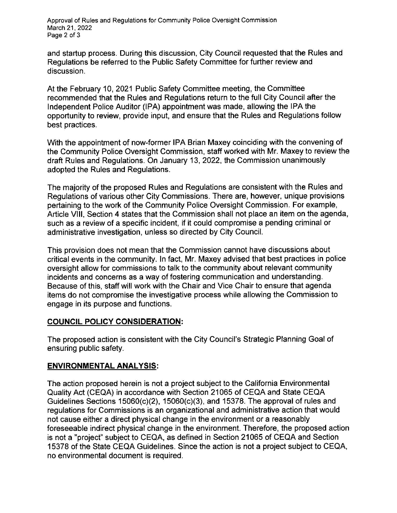Approval of Rules and Regulations for Community Police Oversight Commission March 21, 2022 Page 2 of 3

and startup process. During this discussion, City Council requested that the Rules and Regulations be referred to the Public Safety Committee for further review and discussion.

At the February 10, 2021 Public Safety Committee meeting, the Committee recommended that the Rules and Regulations return to the full City Council after the Independent Police Auditor (IPA) appointment was made, allowing the IPA the opportunity to review, provide input, and ensure that the Rules and Regulations follow best practices.

With the appointment of now-former IPA Brian Maxey coinciding with the convening of the Community Police Oversight Commission, staff worked with Mr. Maxey to review the draft Rules and Regulations. On January 13, 2022, the Commission unanimously adopted the Rules and Regulations.

The majority of the proposed Rules and Regulations are consistent with the Rules and Regulations of various other City Commissions. There are, however, unique provisions pertaining to the work of the Community Police Oversight Commission. For example, Article VIII, Section 4 states that the Commission shall not place an item on the agenda, such as a review of a specific incident, if it could compromise a pending criminal or administrative investigation, unless so directed by City Council.

This provision does not mean that the Commission cannot have discussions about critical events in the community. In fact, Mr. Maxey advised that best practices in police oversight allow for commissions to talk to the community about relevant community incidents and concerns as a way of fostering communication and understanding. Because of this, staff will work with the Chair and Vice Chair to ensure that agenda items do not compromise the investigative process while allowing the Commission to engage in its purpose and functions.

#### **COUNCIL POLICY CONSIDERATION:**

The proposed action is consistent with the City Council's Strategic Planning Goal of ensuring public safety.

#### **ENVIRONMENTAL ANALYSIS:**

The action proposed herein is not a project subject to the California Environmental Quality Act (CEQA) in accordance with Section 21065 of CEQA and State CEQA Guidelines Sections 15060(c)(2), 15060(c)(3), and 15378. The approval of rules and regulations for Commissions is an organizational and administrative action that would not cause either a direct physical change in the environment or a reasonably foreseeable indirect physical change in the environment. Therefore, the proposed action is not a "project" subject to CEQA, as defined in Section 21065 of CEQA and Section 15378 of the State CEQA Guidelines. Since the action is not a project subject to CEQA, no environmental document is required.